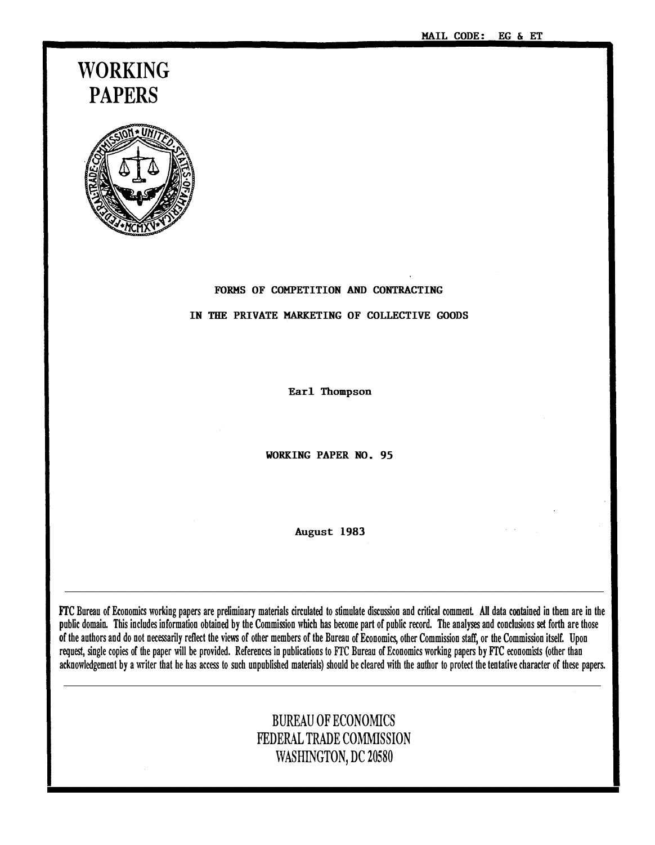# WORKING PAPERS



# FORMS OF COMPETITION AND CONTRACTING

#### IN THE PRIVATE MARKETING OF COLLECTIVE GOODS

Earl Thompson

WORKING PAPER NO. 95

August 1983

FTC Bureau of Economics working papers are preliminary materials circulated to stimulate discussion and critical comment. All data contained in them are in the public domain. This includes information obtained by the Commission which has become part of public record. The analyses and conclusions set forth are those of the authors and do not necessarily reflect the views of other members of the Bureau of Economics, other Commission staff, or the Commission itself. Upon request, single copies of the paper will be provided. References in publications to FTC Bureau of Economics working papers by FTC economists (other than acknowledgement by a writer that he has access to such unpublished materials) should be cleared with the author to protect the tentative character of these papers.

# BUREAU OF ECONOMICS FEDERAL TRADE COMMISSION WASHINGTON, DC 20580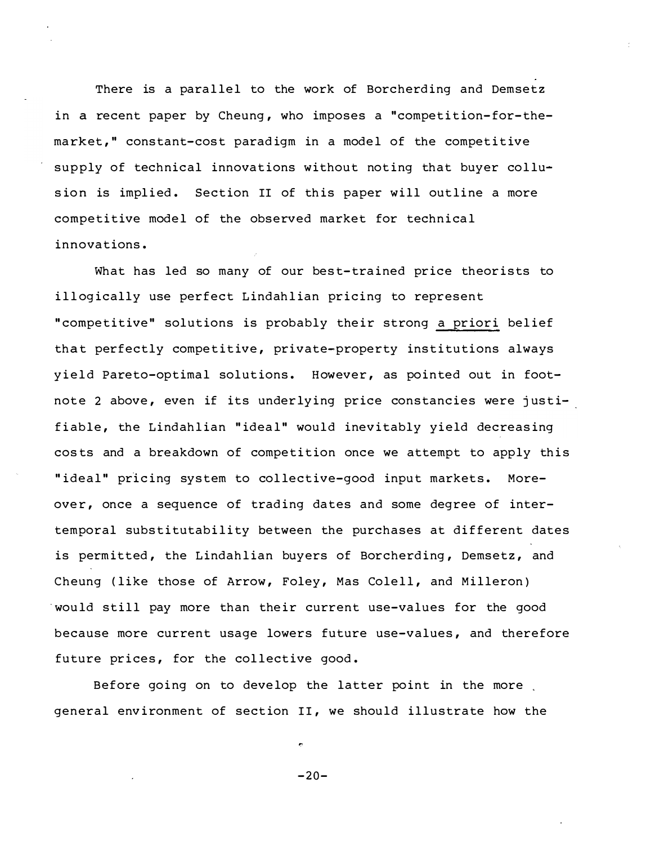There is a parallel to the work of Borcherding and Demsetz in a recent paper by Cheung, who imposes a "competition-for-themarket," constant-cost paradigm in a model of the competitive supply of technical innovations without noting that buyer collusion is implied. Section II of this paper will outline a more competitive model of the observed market for technical i nnovations .

What has led so many of our best-trained price theorists to illogically use perfect Lindahlian pricing to represent " competitive" solutions is probably their strong a priori belief that perfectly competitive, private-property institutions always yield Pareto-optimal solutions. However, as pointed out in footnote 2 above, even if its underlying price constancies were justifiable, the Lindahlian "ideal" would inevitably yield decreasing costs and a breakdown of competition once we attempt to apply this "ideal" pricing system to collective-good input markets. Moreover, once a sequence of trading dates and some degree of intertemporal substitutability between the purchases at different dates is permitted, the Lindahlian buyers of Borcherding, Demsetz, and Cheung (like those of Arrow, Foley, Mas Colell, and Milleron) would still pay more than their current use-values for the good because more current usage lowers future use-values, and therefore future prices, for the collective good.

Before going on to develop the latter point in the more general environment of section II, we should illustrate how the

 $-20-$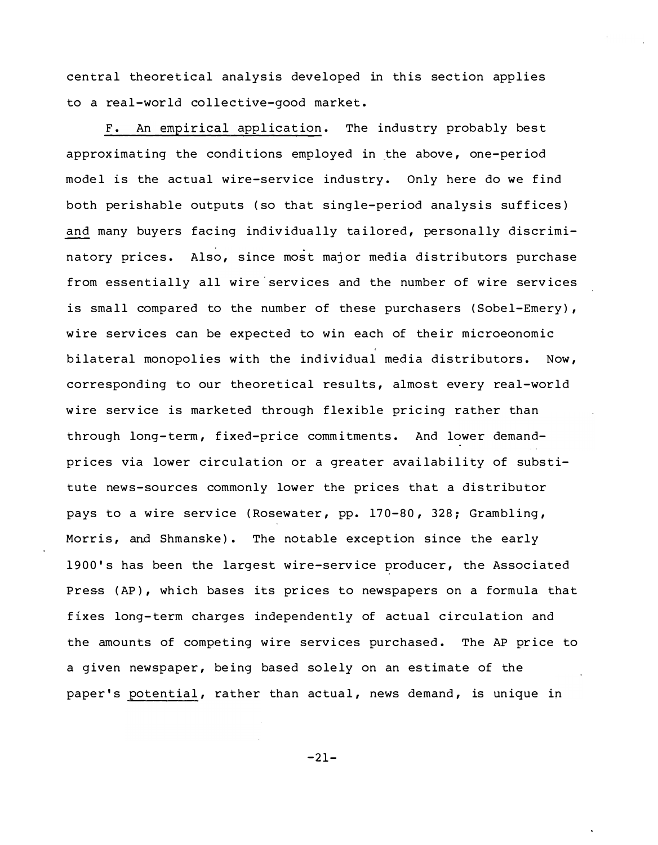central theoretical analysis developed in this section applies to a real-world collective-good market.

F. An empirical application. The industry probably best approximating the conditions employed in the above, one-period model is the actual wire-service industry. Only here do we find both perishable outputs (so that sing le-period analysis suffices) and many buyers facing individually tailored, personally discriminatory prices. Also, since most major media distributors purchase from essentially all wire services and the number of wire services is small compared to the number of these purchasers (Sobel-Emery), wire services can be expected to win each of their microeonomic bilateral monopolies with the individual media distributors. Now, corresponding to our theoretical results, almost every real-world wire service is marketed through flexible pricing rather than through long-term, fixed-price commitments. And lower demandprices via lower circulation or a greater availability of substitute news-sources commonly lower the prices that a distributor pays to a wire service (Rosewater, pp. 170-80, 328; Grambling, Morris, and Shmanske). The notable exception since the early 1900's has been the largest wire-service producer, the Associated Press (AP), which bases its prices to newspapers on a formula that fixes long-term charges independently of actual circulation and the amounts of competing wire services purchased. The AP price to a given newspaper, being based solely on an estimate of the paper's potential, rather than actual, news demand, is unique in

 $-21-$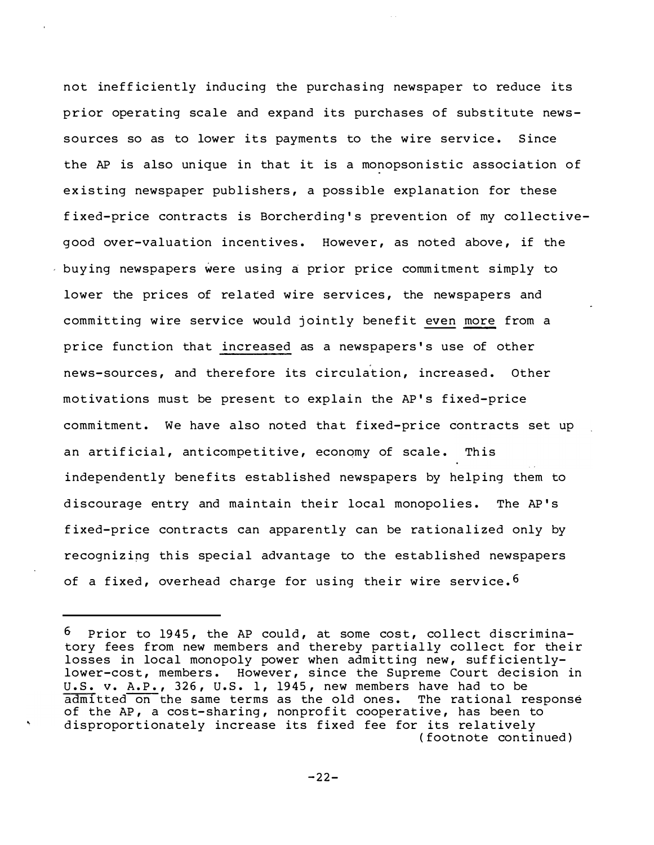not inefficiently inducing the purchasing newspaper to reduce its prior operating scale and expand its purchases of substitute newssources so as to lower its payments to the wire service. Since the AP is also unique in that it is a monopsonistic association of existing newspaper publishers, a possible explanation for these fixed-price contracts is Borcherding's prevention of my collectivegood over-valuation incentives. However, as noted above, if the buying newspapers were using a prior price commitment simply to lower the prices of related wire services, the newspapers and committing wire service would jointly benefit even more from a price function that increased as a newspapers's use of other news-sources, and therefore its circulation, increased. Other motivations must be present to explain the AP's fixed-price commitment. We have also noted that fixed-price contracts set up an artificial, anticompetitive, economy of scale. This independently benefits established newspapers by helping them to discourage entry and maintain their local monopolies. The AP's fixed-price contracts can apparently can be rationalized only by recognizing this special advantage to the established newspapers of a fixed, overhead charge for using their wire service.<sup>6</sup>

<sup>6</sup> Prior to 1945, the AP could, at some cost, collect discriminatory fees from new members and thereby partially collect for their losses in local monopoly power when admitting new, sufficientlylower-cost, members. However, since the Supreme Court decision in U.S. v. A.P., 326, U.S. 1, 1945, new members have had to be admitted on the same terms as the old ones. The rational response of the AP, a cost-sharing, nonprofit cooperative, has been to disproportionately increase its fixed fee for its relatively (footnote continued)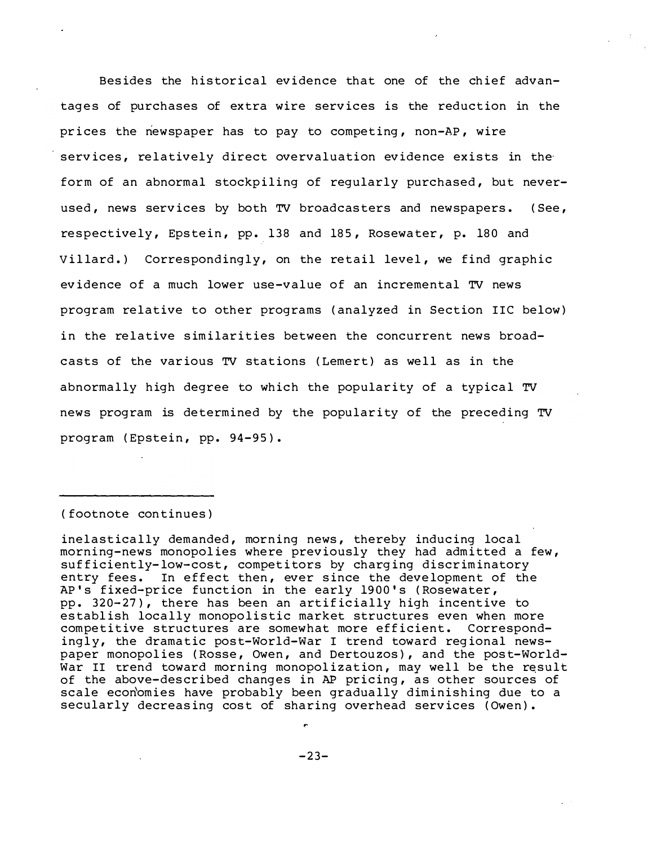Besides the historical evidence that one of the chief advantages of purchases of extra wire services is the reduction in the prices the newspaper has to pay to competing, non-AP, wire services, relatively direct overvaluation evidence exists in the form of an abnormal stockpiling of reqularly purchased, but neverused, news services by both TV broadcasters and newspapers. (See, respectively, Epstein, pp. 138 and 185, Rosewater, p. 180 and Villard.) Correspondingly, on the retail level, we find graphic evidence of a much lower use-value of an incremental TV news program relative to other programs (analyzed in Section IIC below) in the relative similarities between the concurrent news broadcasts of the various TV stations (Lemert) as well as in the abnormally high degree to which the popularity of a typical TV news program is determined by the popularity of the preceding TV program (Epstein, pp. 94-95).

#### (footnote continues)

inelastically demanded, morning news, thereby inducing local morning-news monopolies where previously they had admitted a few, sufficiently-low-cost, competitors by charging discriminatory entry fees. In effect then, ever since the development of the AP's fixed-price function in the early 1900's (Rosewater, pp. 320-27), there has been an artificially high incentive to establish locally monopolistic market structures even when more competitive structures are somewhat more efficient. Correspondingly, the dramatic post-World-War I trend toward regional newspaper monopolies (Rosse, Owen, and Dertouzos), and the post-World-War II trend toward morning monopolization, may well be the result of the above-described changes in AP pricing, as other sources of scale economies have probably been gradually diminishing due to a secularly decreasing cost of sharing overhead services (Owen).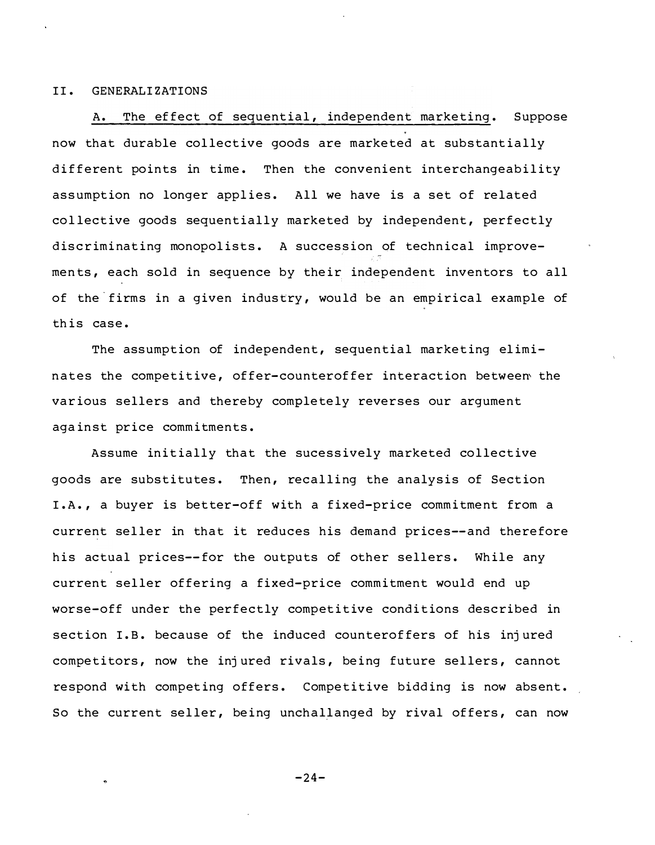#### II . GENERALIZATIONS

A. The effect of sequential, independent marketing. Suppose now that durable collective goods are marketed at substantially different points in time. Then the convenient interchangeability assumption no longer applies. All we have is a set of related collective goods sequentially marketed by independent, perfectly discriminating monopolists. A succession of technical improvements, each sold in sequence by their independent inventors to all of the firms in a given industry, would be an empirical example of th is case .

The assumption of independent, sequential marketing eliminates the competitive, offer-counteroffer interaction between the various sellers and thereby completely reverses our argument against price commitments.

Assume initially that the sucessively marketed collective goods are substitutes. Then, recalling the analysis of Section I.A., a buyer is better-off with a fixed-price commitment from a current seller in that it reduces his demand prices--and therefore his actual prices--for the outputs of other sellers. While any current seller offering a fixed-price commitment would end up worse-off under the perfectly competitive conditions described in section I.B. because of the induced counteroffers of his injured competitors, now the injured rivals, being future sellers, cannot respond with competing offers. Competitive bidding is now absent. So the current seller, being unchallanged by rival offers, can now

 $-24-$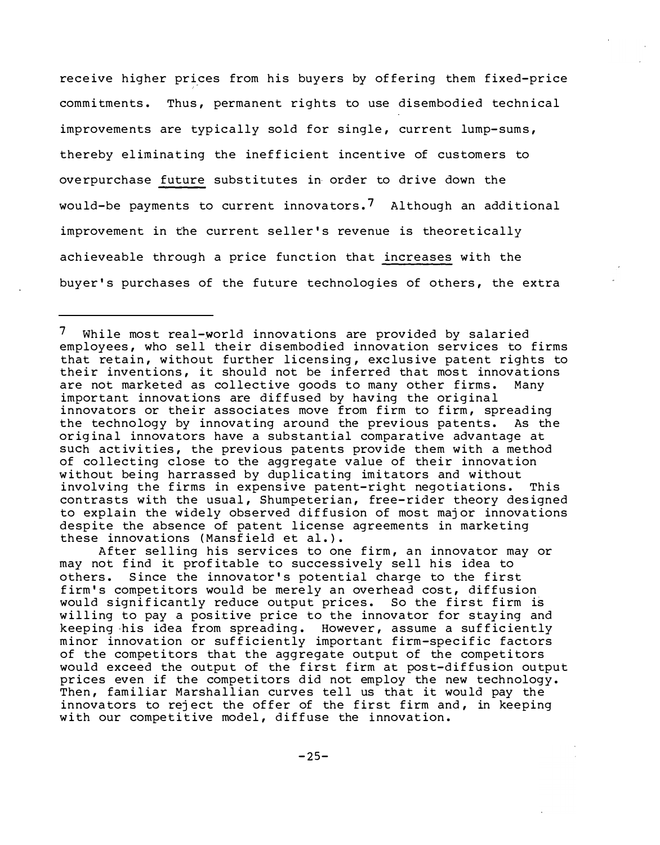receive higher prices from his buyers by offering them fixed-price commitments. Thus, permanent rights to use disembodied technical improvements are typically sold for single, current lump-sums, thereby eliminating the inefficient incentive of customers to overpurchase future substitutes in order to drive down the would-be payments to current innovators.<sup>7</sup> Although an additional improvement in the current seller's revenue is theoretically achieveable through a price function that increases with the buyer's purchases of the future technologies of others, the extra

After selling his services to one firm, an innovator may or may not find it profitable to successively sell his idea to others. Since the innovator's potential charge to the first firm's competitors would be merely an overhead cost, diffusion would significantly reduce output prices. So the first firm is willing to pay a positive price to the innovator for staying and keeping his idea from spreading. However, assume a sufficiently minor innovation or sufficiently important firm-specific factors of the competitors that the aggregate output of the competitors would exceed the output of the first firm at post-diffusion output prices even if the competitors did not employ the new technology. Then, familiar Marshallian curves tell us that it would pay the innovators to reject the offer of the first firm and, in keeping with our competitive model, diffuse the innovation.

 $7<sup>7</sup>$ While most real-world innovations are provided by salaried employees, who sell their disembodied innovation services to firms that retain, without further licensing, exclusive patent rights to their inventions, it should not be inferred that most innovations are not marketed as collective goods to many other firms. Many important innovations are diffused by having the original innovators or their associates move from firm to firm, spreading the technology by innovating around the previous patents. As the original innovators have a substantial comparative advantage at such activities, the previous patents provide them with a method of collecting close to the aggregate value of their innovation without being harrassed by duplicating imitators and without involving the firms in expensive patent-right negotiations. This contrasts with the usual, Shumpeterian, free-rider theory designed to explain the widely observed diffusion of most major innovations despite the absence of patent license agreements in marketing these innovations (Mansfield et al.).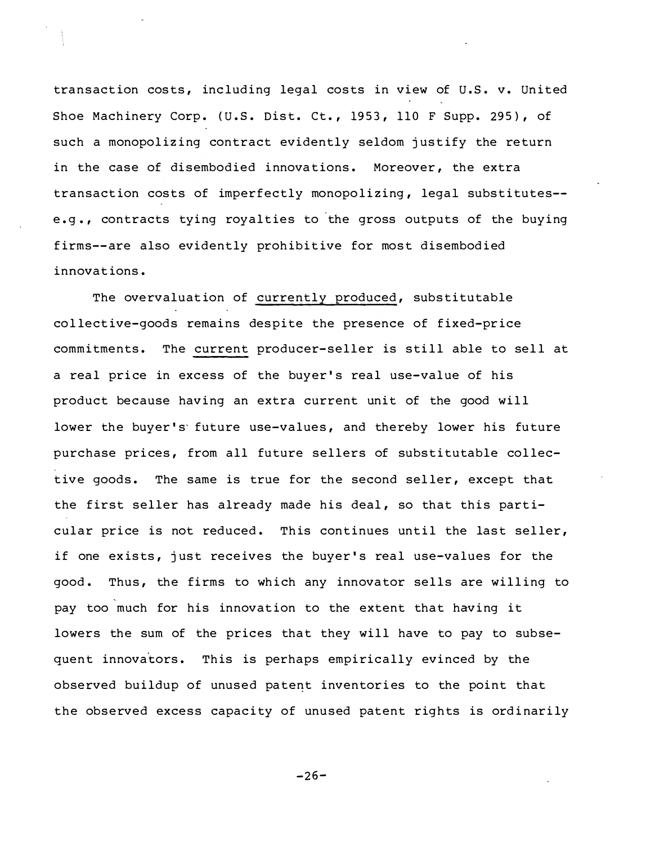transaction costs, including legal costs in view of U.S. v. United Shoe Machinery Corp. (U.S. Dist. Ct., 1953, 110 F Supp. 295), of such a monopolizing contract evidently seldom justify the return in the case of disembodied innovations. Moreover, the extra transaction costs of imperfectly monopolizing, legal substitutes-e.g., contracts tying royalties to the gross outputs of the buying firms--are also evidently prohibitive for most disembodied innovations.

The overvaluation of currently produced, substitutable collective-goods remains despite the presence of fixed-price commitments. The current producer-seller is still able to sell at a real price in excess of the buyer's real use-value of his product because having an extra current unit of the good will lower the buyer's future use-values, and thereby lower his future purchase prices, from all future sellers of substitutable collective goods. The same is true for the second seller, except that the first seller has already made his deal, so that this particular price is not reduced. This continues until the last seller, if one exists, just receives the buyer's real use-values for the good. Thus, the firms to which any innovator sells are willing to pay too much for his innovation to the extent that having it lowers the sum of the prices that they will have to pay to subsequent innovators. This is perhaps empirically evinced by the observed buildup of unused patent inventories to the point that the observed excess capacity of unused patent rights is ordinarily

 $-26-$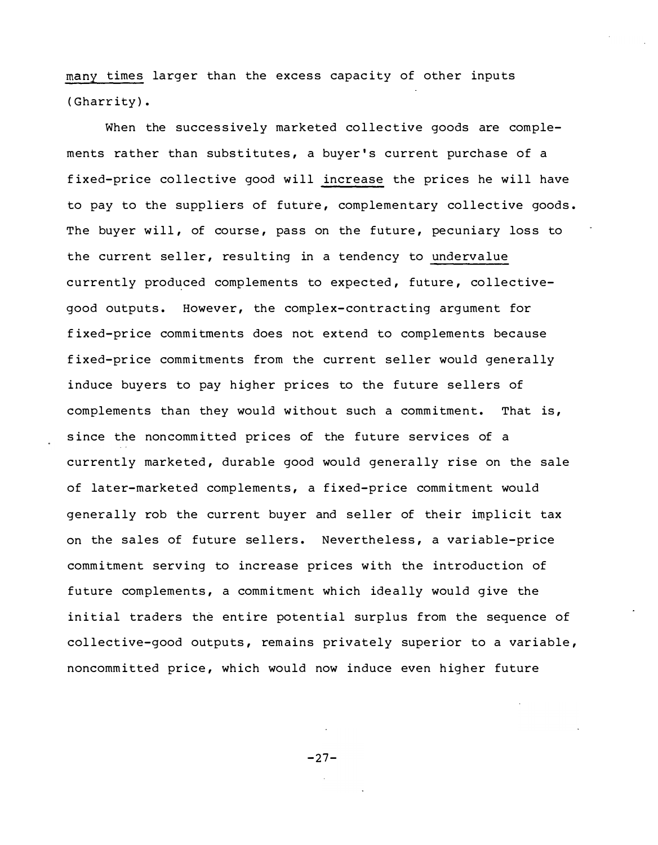many times larger than the excess capacity of other inputs ( Gharrity) .

When the successively marketed collective goods are complements rather than substitutes, a buyer's current purchase of a fixed-price collective good will increase the prices he will have to pay to the suppliers of future, complementary collective goods. The buyer will, of course, pass on the future, pecuniary loss to the current seller, resulting in a tendency to undervalue currently produced complements to expected, future, collectivegood outputs. However, the complex-contracting argument for fixed-price commitments does not extend to complements because fixed-price commitments from the current seller would generally induce buyers to pay higher prices to the future sellers of complements than they would without such a commitment. That is, since the noncommitted prices of the future services of a currently marketed, durable good would generally rise on the sale of later-marketed complements, a fixed-price commitment would generally rob the current buyer and seller of their implicit tax on the sales of future sellers. Nevertheless, a variable-price commitment serving to increase prices with the introduction of future complements, a commitment which ideally would give the initial traders the entire potential surplus from the sequence of collective-good outputs, remains privately superior to a variable, noncommitted price, which would now induce even higher future

 $-27-$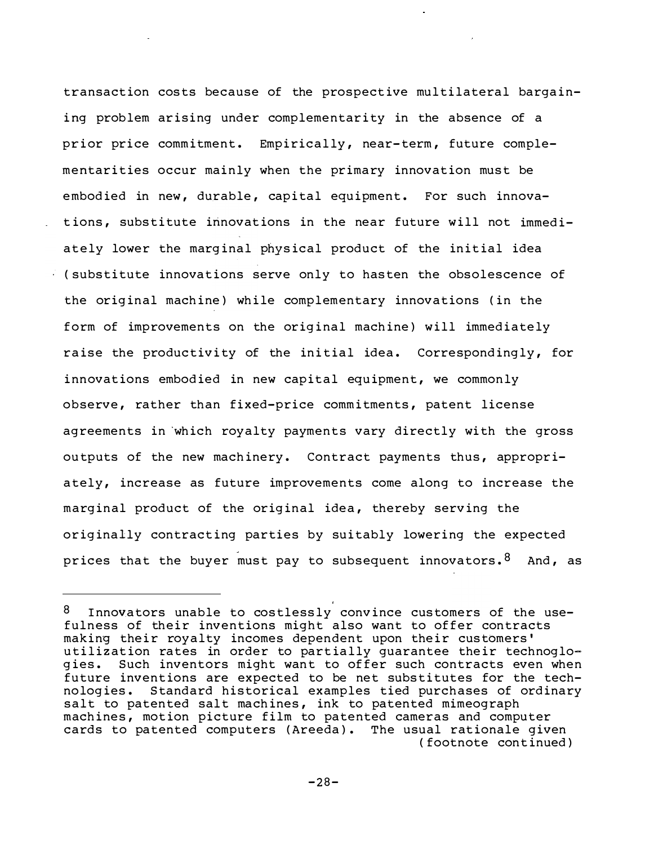transaction costs because of the prospective multilateral bargaining problem arising under complementarity in the absence of a prior price commitment. Empirically, near-term, future complementarities occur mainly when the primary innovation must be embodied in new, durable, capital equipment. For such innovations, substitute innovations in the near future will not immedi-(substitute innovations serve only to hasten the obsolescence of the original machine) while complementary innovations (in the ately lower the marginal physical product of the initial idea form of improvements on the original machine) will immediately raise the productivity of the initial idea. Correspondingly, for innovations embodied in new capital equipment, we commonly observe, rather than fixed-price commitments, patent license agreements in which royalty payments vary directly with the gross outputs of the new machinery. Contract payments thus, appropriately, increase as future improvements come along to increase the marginal product of the original idea, thereby serving the originally contracting parties by suitably lowering the expected prices that the buyer must pay to subsequent innovators.  $8$  And, as

 $^8$  Innovators unable to costlessly convince customers of the usefulness of their inventions might also want to offer contracts making their royalty incomes dependent upon their customers' utilization rates in order to partially guarantee their technoglogies. Such inventors might want to offer such contracts even when future inventions are expected to be net substitutes for the technologies. Standard historical examples tied purchases of ordinary salt to patented salt machines, ink to patented mimeograph machines, motion picture film to patented cameras and computer cards to patented computers (Areeda). The usual rationale given ( footnote cont inued )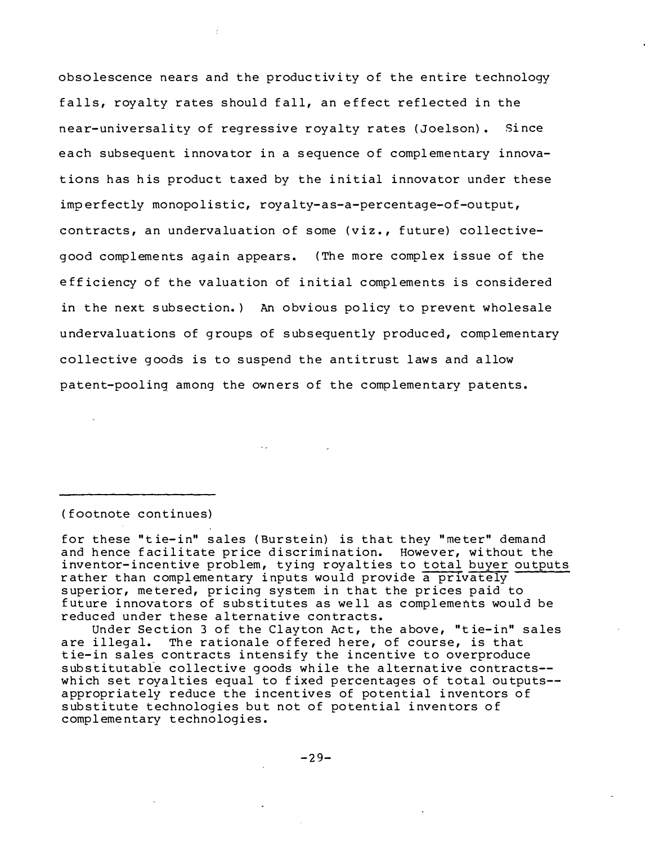obsolescence nears and the productivity of the entire technology falls, royalty rates should fall, an effect reflected in the near-universality of regressive royalty rates (Joelson). Since each subsequent innovator in a sequence of complementary innovations has his product taxed by the initial innovator under these imperfectly monopolistic, royalty-as-a-percentage-of-output, contracts, an undervaluation of some (viz., future) collectivegood complements again appears. (The more complex issue of the efficiency of the valuation of initial complements is considered in the next subsection.) An obvious policy to prevent wholesale undervaluations of groups of subsequently produced, complementary collective goods is to suspend the antitrust laws and allow patent-pooling among the owners of the complementary patents.

(footnote continues)

for these "tie-in" sales (Burstein) is that they "meter" demand and hence facilitate price discrimination. However, without the inventor-incentive problem, tying royalties to total buyer outputs rather than complementary inputs would provide a privately superior, metered, pricing system in that the prices paid to future innovators of substitutes as well as complements would be reduced under these alternative contracts.

Under Section 3 of the Clayton Act, the above, "tie-in" sales The rationale offered here, of course, is that are illegal. tie-in sales contracts intensify the incentive to overproduce substitutable collective goods while the alternative contracts-which set royalties equal to fixed percentages of total outputs-appropriately reduce the incentives of potential inventors of substitute technologies but not of potential inventors of complementary technologies.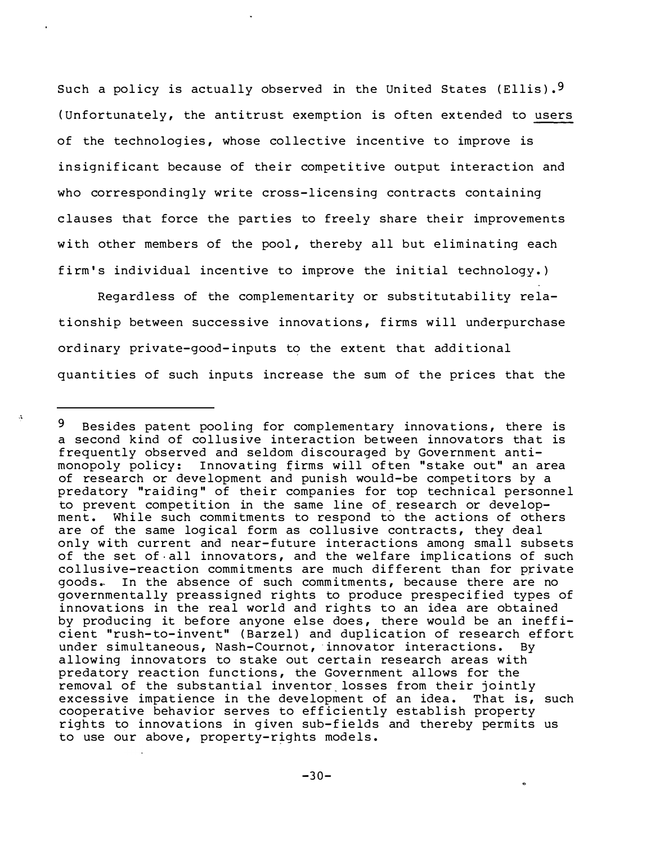Such a policy is actually observed in the United States (Ellis).<sup>9</sup> (Unfortunately, the antitrust exemption is often extended to users of the technologies, whose collective incentive to improve is insignificant because of their competitive output interaction and who correspondingly write cross-licensing contracts containing clauses that force the parties to freely share their improvements with other members of the pool, thereby all but eliminating each firm's individual incentive to improve the initial technology.)

Regardless of the complementarity or substitutability relationship between successive innovations, firms will underpurchase ordinary private-good-inputs to the extent that additional quantities of such inputs increase the sum of the prices that the

<sup>9</sup> Besides patent pooling for complementary innovations, there is a second kind of collusive interaction between innovators that is frequently observed and seldom discouraged by Government antimonopoly policy: Innovating firms will often "stake out" an area of research or development and punish would-be competitors by a predatory "raiding" of their companies for top technical personnel to prevent competition in the same line of research or development. While such commitments to respond to the actions of others are of the same logical form as collusive contracts, they deal only with current and near-future interactions among small subsets of the set of all innovators, and the welfare implications of such collusive-reaction commitments are much different than for private goods. In the absence of such commitments, because there are no governmentally preassigned rights to produce prespecified types of innovations in the real world and rights to an idea are obtained by producing it before anyone else does, there would be an inefficient "rush-to-invent" (Barzel) and duplication of research effort under simultaneous, Nash-Cournot, innovator interactions. By allowing innovators to stake out certain research areas with predatory reaction functions, the Government allows for the removal of the substantial inventor losses from their jointly excessive impatience in the development of an idea. That is, such cooperative behavior serves to efficiently establish property rights to innovations in given sub-fields and thereby permits us to use our above, property-rights models.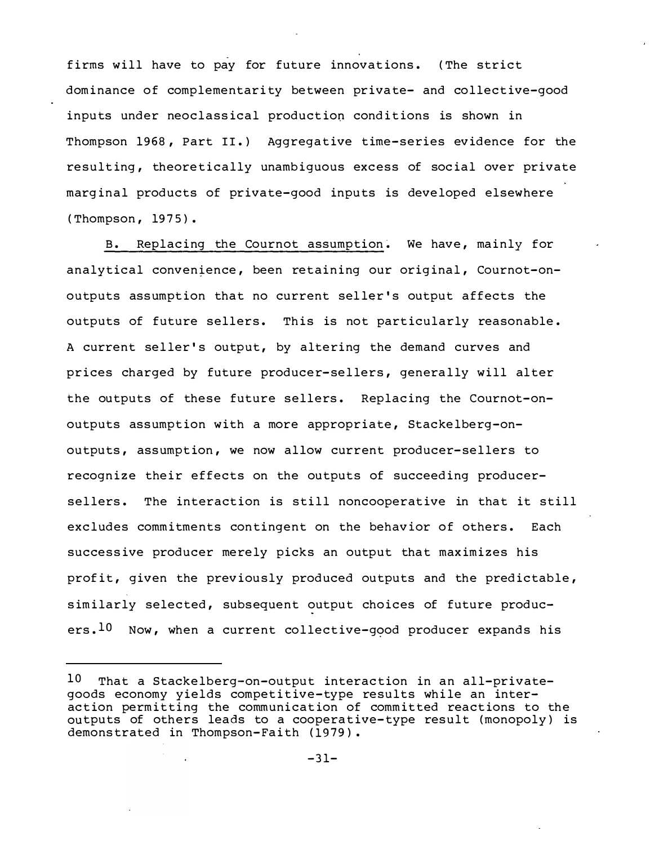firms will have to pay for future innovations. (The strict dominance of complementarity between private- and collective-good inputs under neoclassical production conditions is shown in Thompson 1968, Part II.) Aggregative time-series evidence for the resulting, theoretically unambiguous excess of social over private marginal products of private-good inputs is developed elsewhere (Thompson, 1975).

B. Replacing the Cournot assumption. We have, mainly for analytical convenience, been retaining our original, Cournot-onoutputs assumption that no current seller's output affects the outputs of future sellers. This is not particularly reasonable. A current seller's output, by altering the demand curves and prices charged by future producer-sellers, generally will alter the outputs of these future sellers. Replacing the Cournot-onoutputs assumption with a more appropriate, Stackelberg-onoutputs, assumption, we now allow current producer-sellers to recognize their effects on the outputs of succeeding producersellers. The interaction is still noncooperative in that it still excludes commitments contingent on the behavior of others. Each successive producer merely picks an output that maximizes his profit, given the previously produced outputs and the predictable, similarly selected, subsequent output choices of future producers.<sup>10</sup> Now, when a current collective-good producer expands his

<sup>10</sup> That a Stackelberg-on-output interaction in an all-privategoods economy yields competitive-type results while an interaction permitting the communication of committed reactions to the outputs of others leads to a cooperative-type result (monopoly) is demonstrated in Thompson-Faith (1979).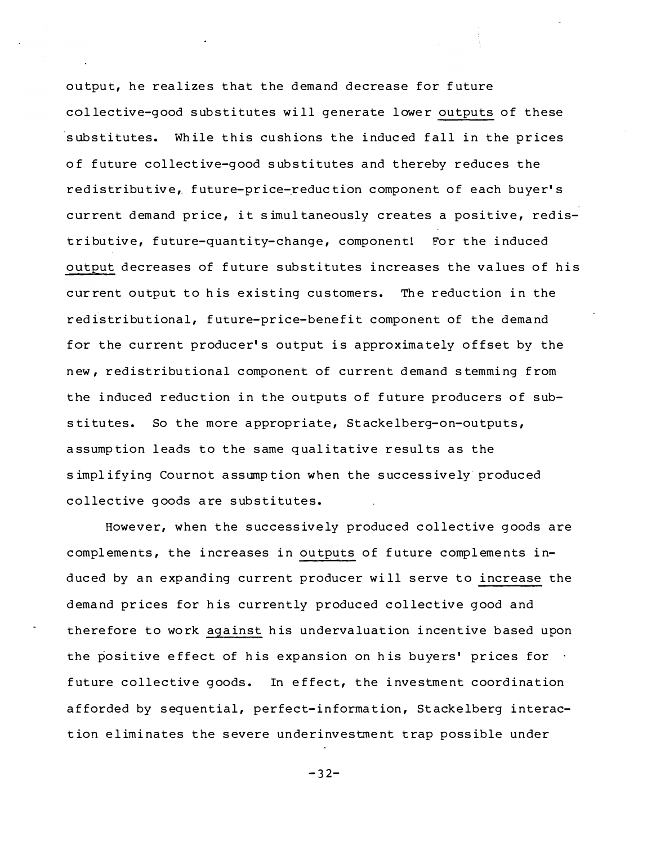output, he realizes that the demand decrease for future collective-good substitutes will generate lower outputs of these substitutes. While this cushions the induced fall in the prices of future collective-good substitutes and thereby reduces the redistributive, future-price-reduction component of each buyer's current demand price, it simultaneously creates a positive, redistributive, future-quantity-change, component! For the induced output decreases of future substitutes increases the values of his current output to his existing customers. The reduction in the redistributional, future-price-benefit component of the demand for the current producer's output is approximately offset by the new, redistributional component of current demand stemming from the induced reduction in the outputs of future producers of substitutes. So the more appropriate, Stackelberg-on-outputs, assumption leads to the same qualitative results as the simplifying Cournot assumption when the successively produced collective goods are substitutes.

However, when the successively produced collective goods are complements, the increases in outputs of future complements induced by an expanding current producer will serve to increase the demand prices for his currently produced collective good and therefore to work against his undervaluation incentive based upon the positive effect of his expansion on his buyers' prices for  $\cdot$ future collective goods. In effect, the investment coordination afforded by sequential, perfect-information, Stackelberg interaction eliminates the severe underinvestment trap possible under

 $-32-$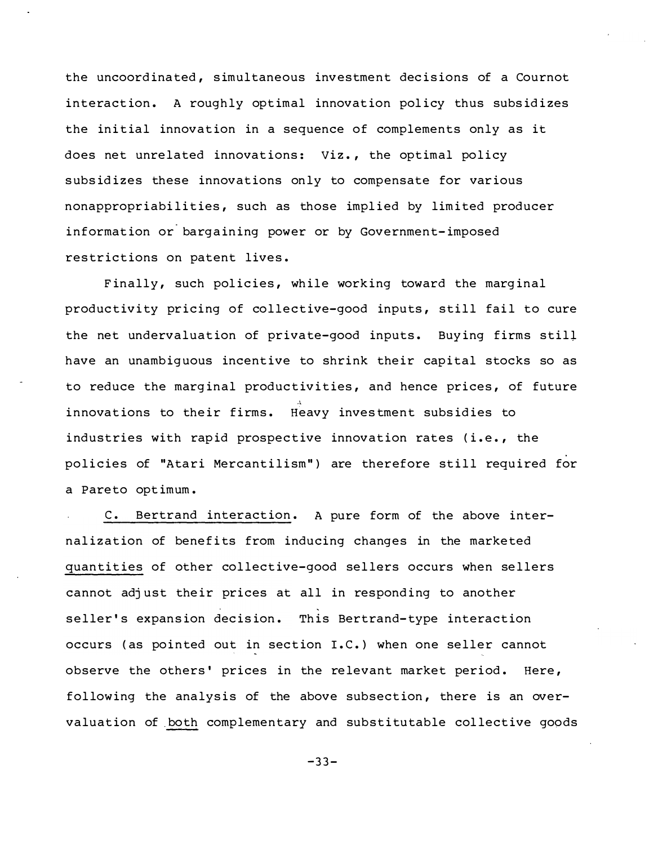the uncoordinated, simultaneous investment decisions of a Cournot interaction. A roughly optimal innovation policy thus subsidizes the initial innovation in a sequence of complements only as it does net unrelated innovations: Viz., the optimal policy subsidizes these innovations only to compensate for various nonappropriabilities, such as those implied by limited producer information or bargaining power or by Government-imposed restrictions on patent lives.

Finally, such policies, while working toward the marginal productivity pricing of collective-good inputs, still fail to cure the net undervaluation of private-good inputs. Buying firms still have an unambiguous incentive to shrink their capital stocks so as to reduce the marginal productivities, and hence prices, of future innovations to their firms. Heavy investment subsidies to industries with rapid prospective innovation rates (i.e., the policies of "Atari Mercantilism") are therefore still required for a Pareto optimum.

c. Bertrand interact ion . A pure form of the above internalization of benefits from inducing changes in the marketed quantities of other collective-good sellers occurs when sellers cannot adjust their prices at all in responding to another ' seller's expansion decision. This Bertrand-type interaction occurs (as pointed out in section I.C.) when one seller cannot observe the others' prices in the relevant market period. Here, following the analysis of the above subsection, there is an overvaluation of both complementary and substitutable collective goods

 $-33-$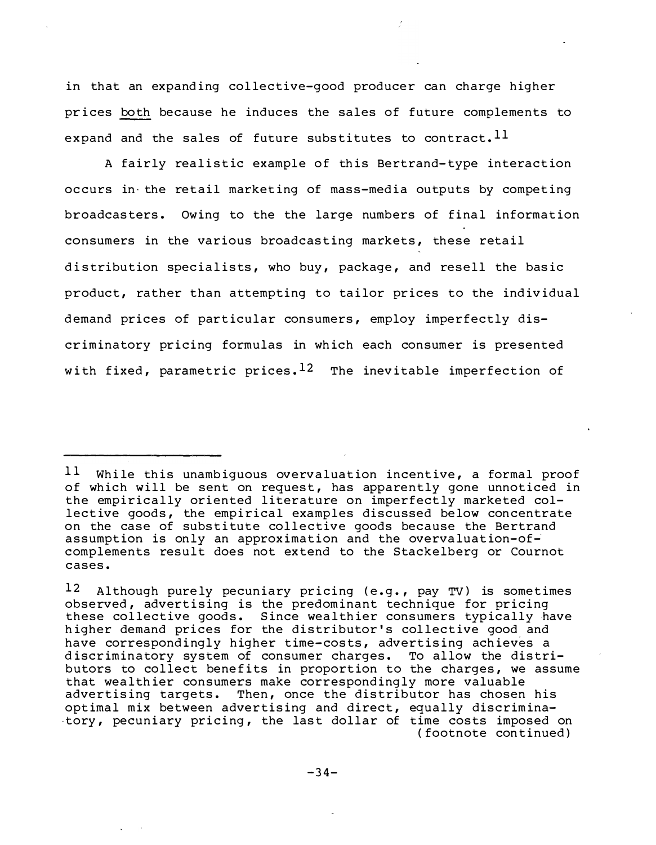in that an expanding collective-good producer can charge higher prices both because he induces the sales of future complements to expand and the sales of future substitutes to contract. Il

A fairly realistic example of this Bertrand-type interaction occurs in the retail marketing of mass-media outputs by competing broadcasters. Owing to the the large numbers of final information consumers in the various broadcasting markets, these retail distribution specialists, who buy, package, and resell the basic product, rather than attempting to tailor prices to the individual demand prices of particular consumers, employ imperfectly discriminatory pricing formulas in which each consumer is presented with fixed, parametric prices.  $12$  The inevitable imperfection of

<sup>11</sup> While this unambiquous overvaluation incentive, a formal proof of which will be sent on request, has apparently gone unnoticed in the empirically oriented literature on imperfectly marketed collective goods, the empirical examples discussed below concentrate on the case of substitute collective goods because the Bertrand assumption is only an approximation and the overvaluation-ofcomplements result does not extend to the Stackelberg or Cournot cases.

 $12$ Although purely pecuniary pricing (e.g., pay TV) is sometimes observed, advertising is the predominant technique for pricing these collective goods. Since wealthier consumers typically have<br>higher demand prices for the distributor's collective good and have correspondingly higher time-costs, advertising achieves a discriminatory system of consumer charges. To allow the distributors to collect benefits in proportion to the charges, we assume that wealthier consumers make correspondingly more valuable advertising targets. Then, once the distributor has chosen his optimal mix between advertising and direct, equally discriminatory, pecuniary pricing, the last dollar of time costs imposed on (footnote continued)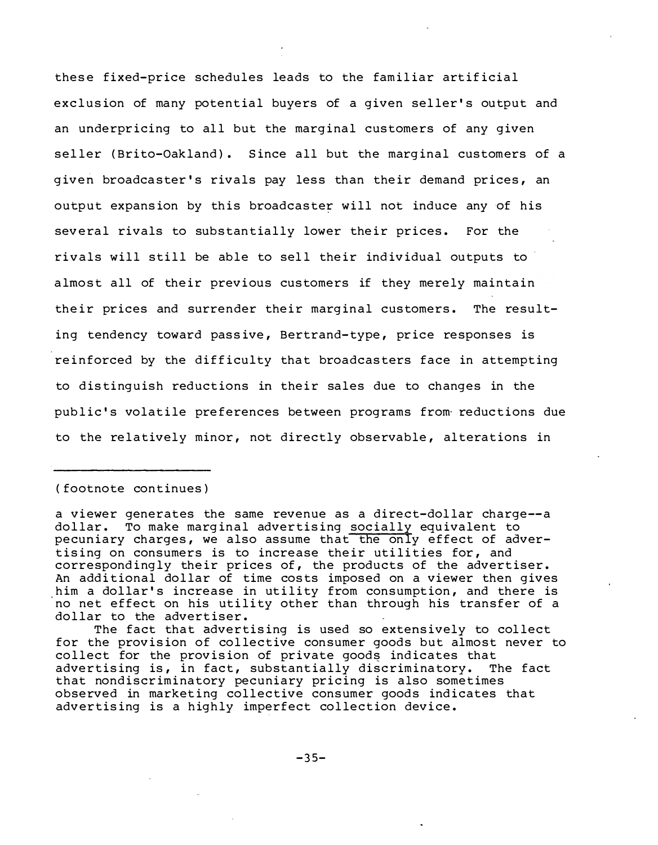these fixed-price schedules leads to the familiar artificial exclusion of many potential buyers of a given seller's output and an underpricing to all but the marginal customers of any given seller (Brito-Oakland). Since all but the marginal customers of a given broadcaster's rivals pay less than their demand prices, an output expansion by this broadcaster will not induce any of his several rivals to substantially lower their prices. For the rivals will still be able to sell their individual outputs to almost all of their previous customers if they merely maintain their prices and surrender their marginal customers. The resulting tendency toward passive, Bertrand-type, price responses is reinforced by the difficulty that broadcasters face in attempting to distinguish reductions in their sales due to changes in the public's volatile preferences between programs from reductions due to the relatively minor, not directly observable, alterations in

#### (footnote continues)

a viewer generates the same revenue as a direct-dollar charge--a dollar. To make marginal advertising socially equivalent to pecuniary charges, we also assume that the only effect of advertising on consumers is to increase their utilities for, and correspondingly their prices of, the products of the advertiser. An additional dollar of time costs imposed on a viewer then gives him a dollar's increase in utility from consumption, and there is no net effect on his utility other than through his transfer of a dollar to the advertiser.

The fact that advertising is used so extensively to collect for the provision of collective consumer goods but almost never to collect for the provision of private goods indicates that advertising is, in fact, substantially discriminatory. The fact that nondiscriminatory pecuniary pricing is also sometimes observed in marketing collective consumer goods indicates that advertising is a highly imperfect collection device.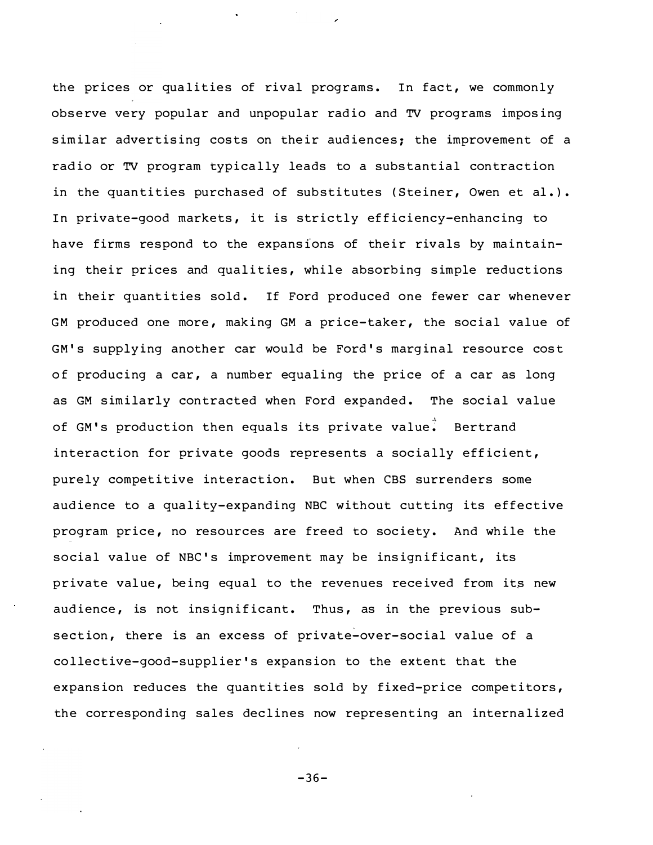the prices or qualities of rival programs. In fact, we commonly observe very popular and unpopular radio and TV programs imposing similar advertising costs on their audiences; the improvement of a radio or TV program typically leads to a substantial contraction in the quantities purchased of substitutes (Steiner, Owen et al.). In private-good markets, it is strictly efficiency-enhancing to have firms respond to the expansions of their rivals by maintaining their prices and qualities, while absorbing simple reductions in their quantities sold. If Ford produced one fewer car whenever GM produced one more, making GM a price-taker, the social value of GM's supplying another car would be Ford's marginal resource cost of producing a car, a number equaling the price of a car as long as GM similarly contracted when Ford expanded. The social value of GM's production then equals its private value. Bertrand interaction for private goods represents a socially efficient, purely competitive interaction. But when CBS surrenders some audience to a quality-expanding NBC without cutting its effective program price, no resources are freed to society. And while the social value of NBC's improvement may be insignificant, its private value, being equal to the revenues received from its new audience, is not insignificant. Thus, as in the previous subsection, there is an excess of private-over-social value of a collective-good-supplier's expansion to the extent that the expansion reduces the quantities sold by fixed-price competitors, the corresponding sales declines now representing an internalized

 $-36-$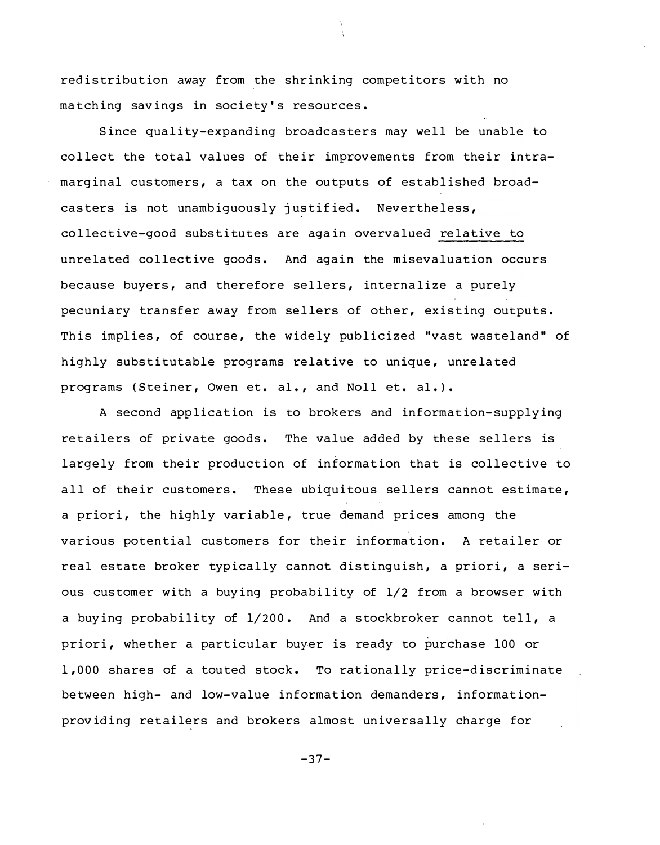redistribution away from the shrinking competitors with no matching savings in society's resources.

Since quality-expanding broadcasters may well be unable to collect the total values of their improvements from their intramarginal customers, a tax on the outputs of established broadcasters is not unambiquously justified. Nevertheless, collective-good substitutes are again overvalued relative to unrelated collective goods. And again the misevaluation occurs because buyers, and therefore sellers, internalize a purely pecuniary transfer away from sellers of other, existing outputs. This implies, of course, the widely publicized "vast wasteland" of highly substitutable programs relative to unique, unrelated programs (Steiner, Owen et. al., and Noll et. al.).

A second application is to brokers and information-supplying retailers of private goods. The value added by these sellers is largely from their production of information that is collective to all of their customers. These ubiquitous sellers cannot estimate, a priori, the highly variable, true demand prices among the various potential customers for their information. A retailer or real estate broker typically cannot distinguish, a priori, a serious customer with a buying probability of 1/2 from a browser with a buying probability of 1/200. And a stockbroker cannot tell, a priori, whether a particular buyer is ready to purchase 100 or 1,000 shares of a touted stock. To rationally price-discriminate between high- and low-value information demanders, informationproviding retailers and brokers almost universally charge for

 $-37-$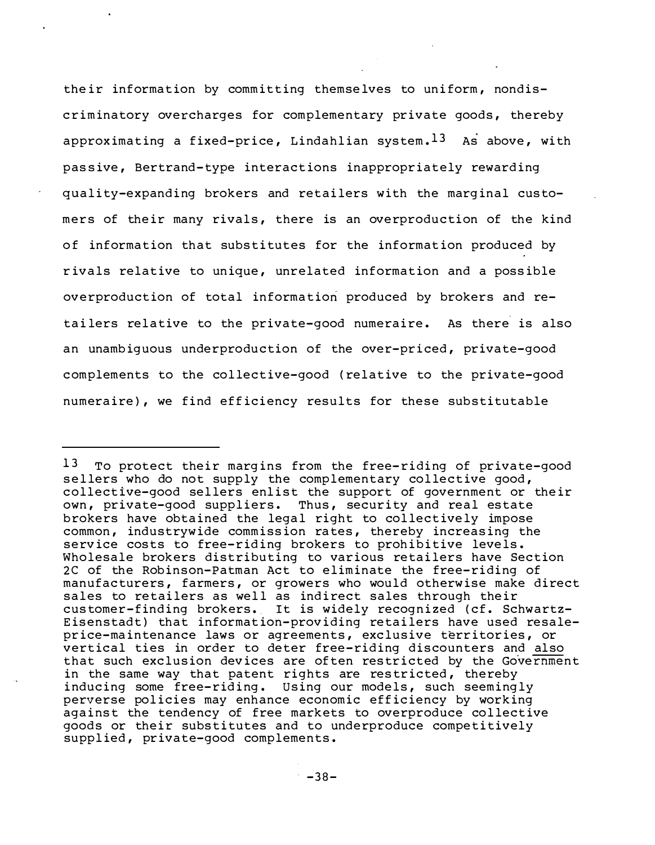their information by committing themselves to uniform, nondiscriminatory overcharges for complementary private goods, thereby approximating a fixed-price, Lindahlian system.  $13$  As above, with passive, Bertrand-type interactions inappropriately rewarding quality-expanding brokers and retailers with the marginal customers of their many rivals, there is an overproduction of the kind of information that substitutes for the information produced by rivals relative to unique, unrelated information and a possible overproduction of total information produced by brokers and retailers relative to the private-good numeraire. As there is also an unambiquous underproduction of the over-priced, private-good complements to the collective-good (relative to the private-good numeraire), we find efficiency results for these substitutable

<sup>13</sup> To protect their margins from the free-riding of private-good sellers who do not supply the complementary collective good, collective-good sellers enlist the support of government or their own, private-good suppliers. Thus, security and real estate brokers have obtained the legal right to collectively impose common, industrywide commission rates, thereby increasing the service costs to free-riding brokers to prohibitive levels. Wholesale brokers distributing to various retailers have Section 2C of the Robinson-Patman Act to eliminate the free-riding of manufacturers, farmers, or growers who would otherwise make direct sales to retailers as well as indirect sales through their customer-finding brokers. It is widely recognized (cf. Schwartz-Eisenstadt) that information-providing retailers have used resaleprice-maintenance laws or agreements, exclusive territories, or vertical ties in order to deter free-riding discounters and also that such exclusion devices are often restricted by the Government in the same way that patent rights are restricted, thereby inducing some free-riding. Using our models, such seemingly perverse policies may enhance economic efficiency by working against the tendency of free markets to overproduce collective goods or their substitutes and to underproduce competitively supplied, private-good complements.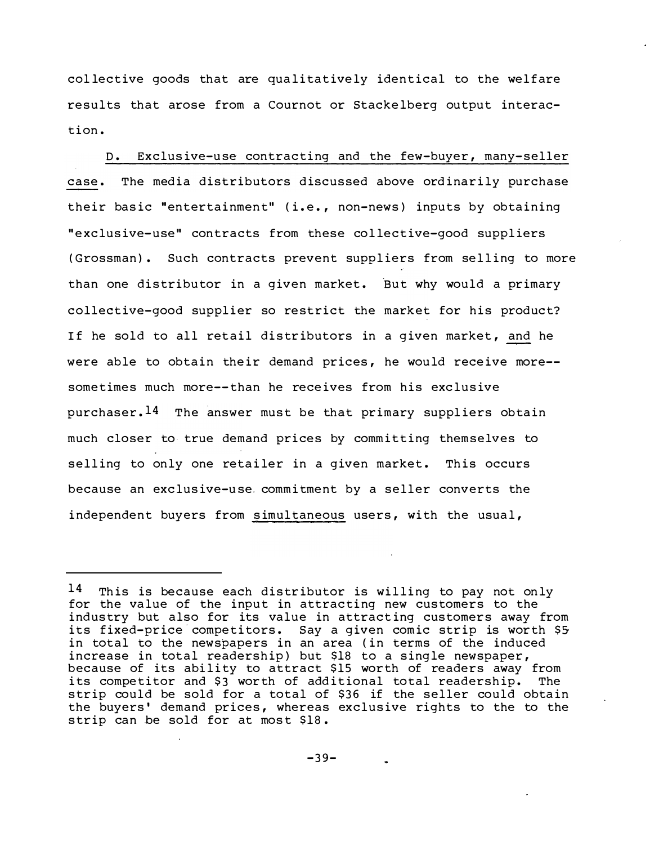collective goods that are qualitatively identical to the welfare results that arose from a Cournot or Stackelberg output interaction.

D. Exclusive-use contracting and the few-buyer, many-seller case. The media distributors discussed above ordinarily purchase their basic "entertainment" (i.e., non-news) inputs by obtaining "exclusive-use" contracts from these collective-good suppliers (Grossman). Such contracts prevent suppliers from selling to more than one distributor in a given market. But why would a primary collective-good supplier so restrict the market for his product? If he sold to all retail distributors in a given market, and he were able to obtain their demand prices, he would receive more-sometimes much more--than he receives from his exclusive purchaser.<sup>14</sup> The answer must be that primary suppliers obtain much closer to true demand prices by committing themselves to selling to only one retailer in a given market. This occurs because an exclusive-use commitment by a seller converts the independent buyers from simultaneous users, with the usual,

 $14$  This is because each distributor is willing to pay not only for the value of the input in attracting new customers to the industry but also for its value in attracting customers away from its fixed-price competitors. Say a given comic strip is worth \$5 in total to the newspapers in an area (in terms of the induced increase in total readership) but \$18 to a single newspaper, because of its ability to attract \$15 worth of readers away from its competitor and \$3 worth of additional total readership. The strip could be sold for a total of \$36 if the seller could obtain the buyers' demand prices, whereas exclusive rights to the to the strip can be sold for at most \$18.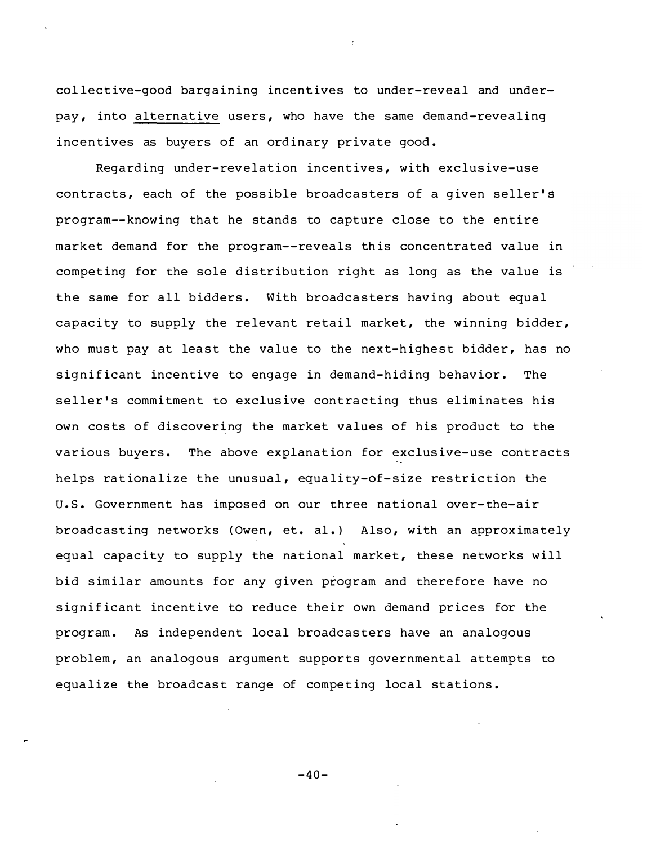collective-good bargaining incentives to under-reveal and underpay, into alternative users, who have the same demand-revealing incentives as buyers of an ordinary private good.

Regarding under-revelation incentives, with exclusive-use contracts, each of the possible broadcasters of a given seller's program--know ing that he stands to capture close to the entire market demand for the program--reveals this concentrated value in competing for the sole distribution right as long as the value is the same for all bidders. With broadcasters having about equal capacity to supply the relevant retail market, the winning bidder, who must pay at least the value to the next-highest bidder, has no significant incentive to engage in demand-hiding behavior. The seller's commitment to exclusive contracting thus eliminates his own costs of discovering the market values of his product to the various buyers. The above explanation for exclusive-use contracts helps rationalize the unusual, equality-of-size restriction the U.S. Government has imposed on our three national over-the-air broadcasting networks (Owen, et. al.) Also, with an approximately equal capacity to supply the national market, these networks will bid similar amounts for any given program and therefore have no significant incentive to reduce their own demand prices for the program. As independent local broadcasters have an analogous problem, an analogous argument supports governmental attempts to equalize the broadcast range of competing local stations.

 $-40-$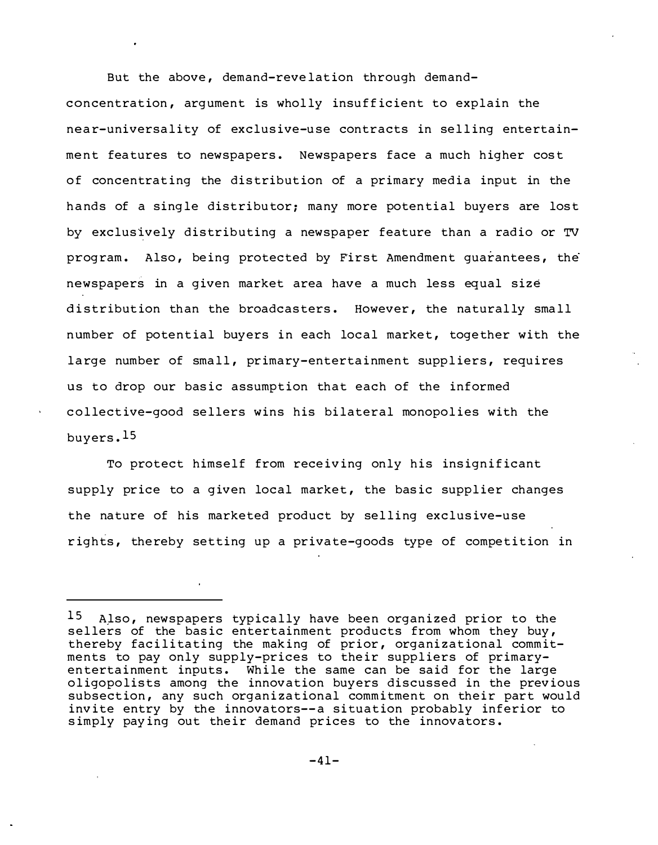But the above, demand-revelation through demandconcentration, argument is wholly insufficient to explain the near-universality of exclusive-use contracts in selling entertainment features to newspapers. Newspapers face a much higher cost of concentrating the distribution of a primary media input in the hands of a single distributor; many more potential buyers are lost by exclusively distributing a newspaper feature than a radio or TV program. Also, being protected by First Amendment quarantees, the newspapers in a given market area have a much less equal size distribution than the broadcasters. However, the naturally small number of potential buyers in each local market, together with the large number of small, primary-entertainment suppliers, requires us to drop our basic assumption that each of the informed collective-good sellers wins his bilateral monopolies with the buyers . l5

To protect himself from receiving only his insignificant supply price to a given local market, the basic supplier changes the nature of his marketed product by selling exclusive-use rights, thereby setting up a private-goods type of competition in

 $15$  Also, newspapers typically have been organized prior to the sellers of the basic entertainment products from whom they buy, thereby facilitating the making of prior, organizational commitments to pay only supply-prices to their suppliers of primaryentertainment inputs. While the same can be said for the large oligopolists among the innovation buyers discussed in the previous subsection, any such organizational commitment on their part would invite entry by the innovators--a situation probably inferior to simply paying out their demand prices to the innovators.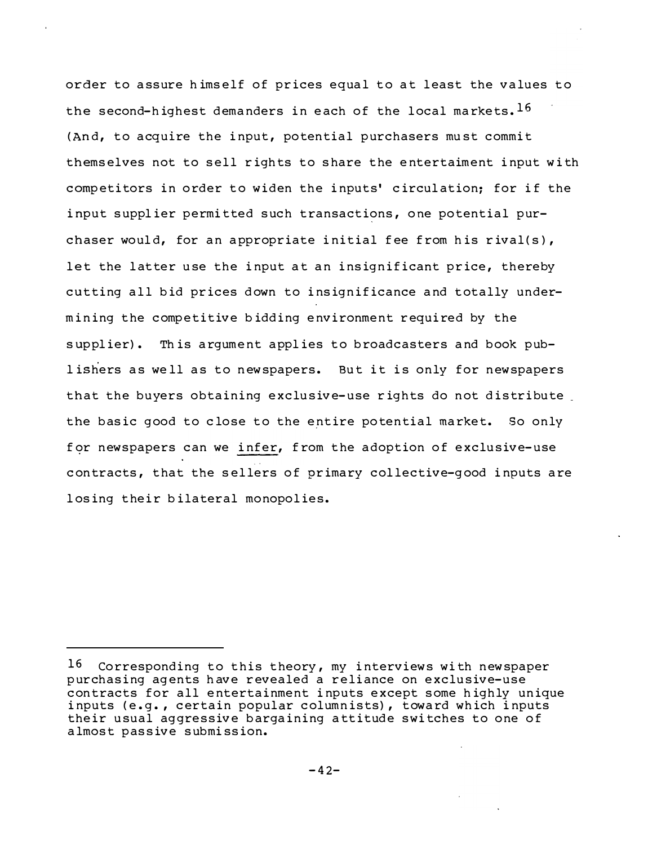order to assure himself of prices equal to at least the values to the second-highest demanders in each of the local markets. 16 (And, to acquire the input, potential purchasers must commit themselves not to sell rights to share the entertaiment input with competitors in order to widen the inputs' circulation; for if the input supplier permitted such transactions, one potential purchaser would, for an appropriate initial fee from his rival(s), let the latter use the input at an insignificant price, thereby cutting all bid prices down to insignificance and totally undermining the competitive bidding environment required by the supplier). This argument applies to broadcasters and book publishers as well as to newspapers. But it is only for newspapers that the buyers obtaining exclusive-use rights do not distribute the basic good to close to the entire potential market. So only for newspapers can we infer, from the adoption of exclusive-use contracts, that the sellers of primary collective-good inputs are losing their bilateral monopolies.

<sup>16</sup> Corresponding to this theory, my interviews with newspaper purchasing agents have revealed a reliance on exclusive-use contracts for all entertainment inputs except some highly unique inputs (e.g., certain popular columnists), toward which inputs their usual aggressive bargaining attitude switches to one of almost passive submission.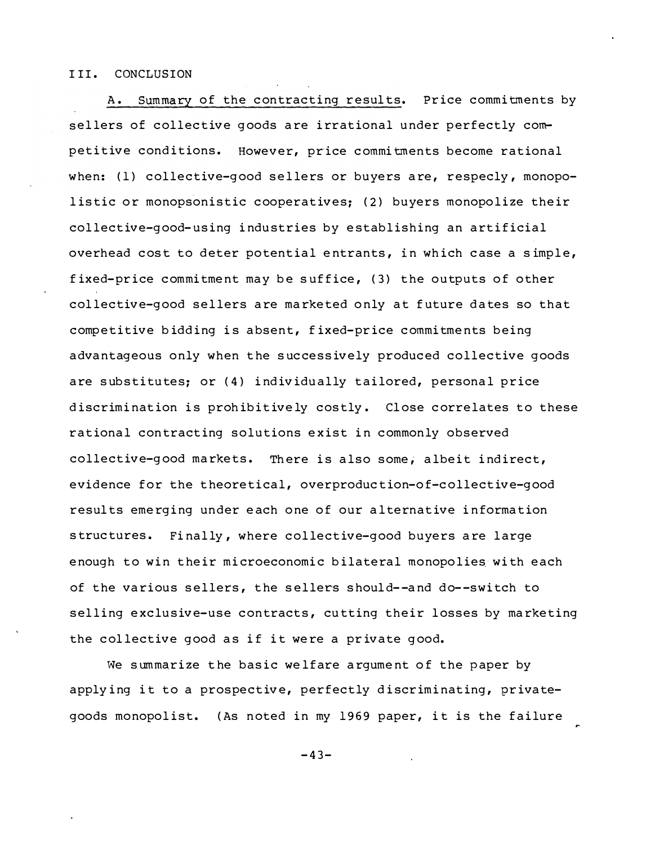# III. CONCLUSION

A. Summary of the contracting results. Price commitments bv sellers of collective goods are irrational under perfectly competitive conditions. However, price commitments become rational when: (1) collective-good sellers or buyers are, respecly, monopolistic or monopsonistic cooperatives; (2) buyers monopolize their collective-good-using industries by establishing an artificial overhead cost to deter potential entrants, in which case a simple, fixed-price commitment may be suffice, (3) the outputs of other collective-good sellers are marketed only at future dates so that competitive bidding is absent, fixed-price commitments being advantageous only when the successively produced collective goods are substitutes; or (4) individually tailored, personal price discrimination is prohibitively costly. Close correlates to these rational contracting solutions exist in commonly observed collective-good markets. There is also some, albeit indirect, evidence for the theoretical, overproduction-of-collective-good results emerging under each one of our alternative information structures. Finally, where collective-good buyers are large enough to win their microeconomic bilateral monopolies with each of the various sellers, the sellers should--and do--switch to selling exclusive-use contracts, cutting their losses by marketing the collective good as if it were a private good.

We summarize the basic welfare argument of the paper by applying it to a prospective, perfectly discriminating, privategoods monopolist. (As noted in my 1969 paper, it is the failure

 $-43-$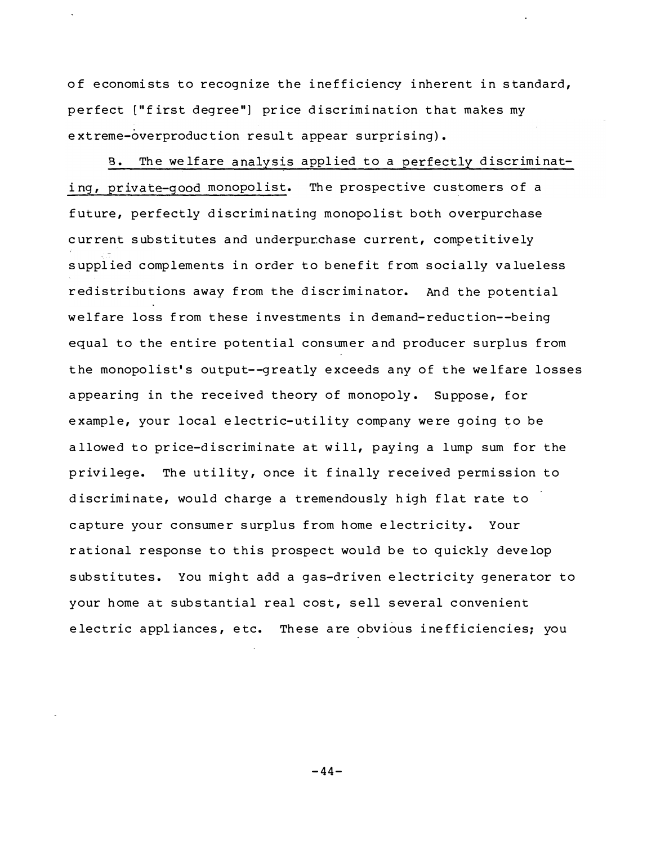of economists to recognize the inefficiency inherent in standard, perfect ["first degree"] price discrimination that makes my extreme-overproduction result appear surprising).

The welfare analysis applied to a perfectly discriminat- $B_{\bullet}$ ing, private-good monopolist. The prospective customers of a future, perfectly discriminating monopolist both overpurchase current substitutes and underpurchase current, competitively supplied complements in order to benefit from socially valueless redistributions away from the discriminator. And the potential welfare loss from these investments in demand-reduction--being equal to the entire potential consumer and producer surplus from the monopolist's output--greatly exceeds any of the welfare losses appearing in the received theory of monopoly. Suppose, for example, your local electric-utility company were going to be allowed to price-discriminate at will, paying a lump sum for the privilege. The utility, once it finally received permission to discriminate, would charge a tremendously high flat rate to capture your consumer surplus from home electricity. Your rational response to this prospect would be to quickly develop substitutes. You might add a gas-driven electricity generator to your home at substantial real cost, sell several convenient electric appliances, etc. These are obvious inefficiencies; you

 $-44-$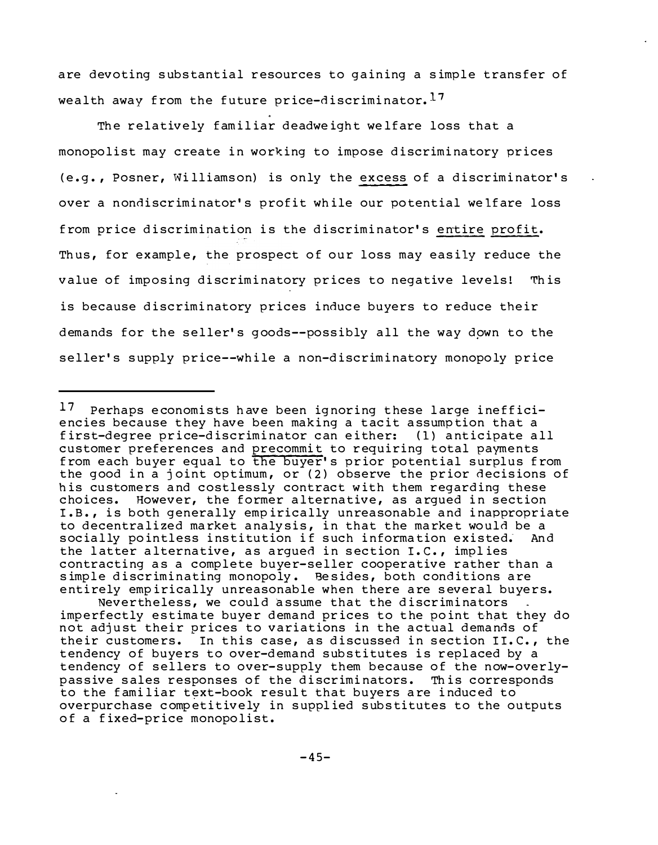are devoting substantial resources to gaining a simple transfer of wealth away from the future price-discriminator. 17

The relatively familiar deadweight welfare loss that a monopolist may create in working to impose discriminatory prices (e.g., Posner, Williamson) is only the excess of a discriminator's over a nondiscriminator's profit while our potential welfare loss from price discrimination is the discriminator's entire profit. Thus, for example, the prospect of our loss may easily reduce the value of imposing discriminatory prices to negative levels! This is because discriminatory prices induce buyers to reduce their demands for the seller's goods--possibly all the way down to the seller's supply price--while a non-discriminatory monopoly price

 $17 \,$ Perhaps economists have been ignoring these large inefficiencies because they have been making a tacit assumption that a first-degree price-discriminator can either: (1) anticipate all customer preferences and precommit to requiring total payments from each buyer equal to the buyer's prior potential surplus from the good in a joint optimum, or (2) observe the prior decisions of his customers and costlessly contract with them regarding these choices. However, the former alternative, as argued in section I.B., is both generally empirically unreasonable and inappropriate to decentralized market analysis, in that the market would be a socially pointless institution if such information existed. And the latter alternative, as argued in section I.C., implies contracting as a complete buyer-seller cooperative rather than a simple discriminating monopoly. Besides, both conditions are entirely empirically unreasonable when there are several buyers.

Nevertheless, we could assume that the discriminators imperfectly estimate buyer demand prices to the point that they do not adjust their prices to variations in the actual demands of their customers. In this case, as discussed in section II.C., the tendency of buyers to over-demand substitutes is replaced by a tendency of sellers to over-supply them because of the now-overlypassive sales responses of the discriminators. This corresponds to the familiar text-book result that buyers are induced to overpurchase competitively in supplied substitutes to the outputs of a fixed-price monopolist.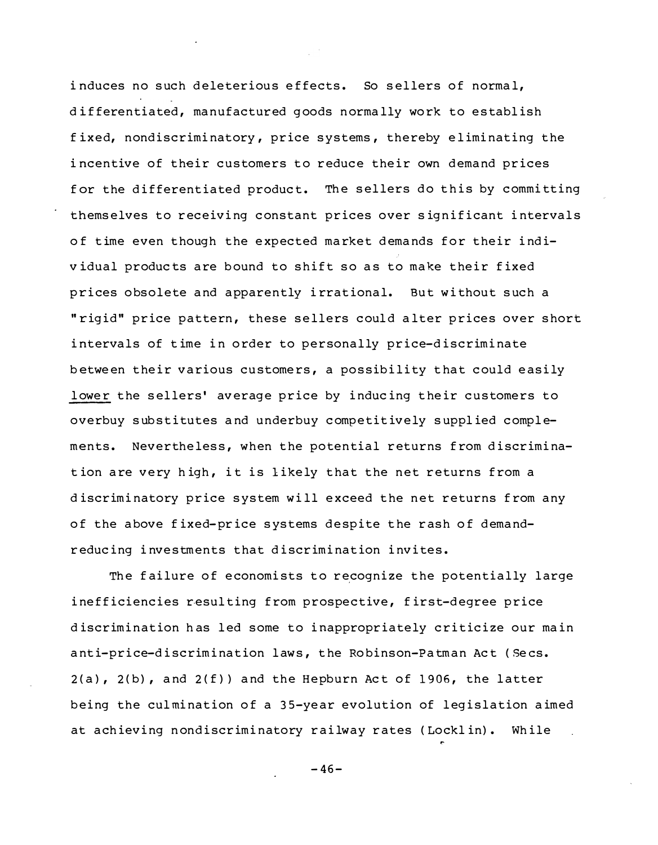induces no such deleterious effects. So sellers of normal, differentiated, manufactured goods normally work to establish fixed, nondiscriminatory, price systems, thereby eliminating the incentive of their customers to reduce their own demand prices for the differentiated product. The sellers do this by committing themselves to receiving constant prices over significant intervals of time even though the expected market demands for their individual products are bound to shift so as to make their fixed prices obsolete and apparently irrational. But without such a "rigid" price pattern, these sellers could alter prices over short intervals of time in order to personally price-discriminate between their various customers, a possibility that could easily lower the sellers' average price by inducing their customers to overbuy substitutes and underbuy competitively supplied complements. Nevertheless, when the potential returns from discrimination are very high, it is likely that the net returns from a discriminatory price system will exceed the net returns from any of the above fixed-price systems despite the rash of demandreducing investments that discrimination invites.

The failure of economists to recognize the potentially large inefficiencies resulting from prospective, first-degree price discrimination has led some to inappropriately criticize our main anti-price-discrimination laws, the Robinson-Patman Act (Secs.  $2(a)$ ,  $2(b)$ , and  $2(f)$ ) and the Hepburn Act of 1906, the latter being the culmination of a 35-year evolution of legislation aimed at achieving nondiscriminatory railway rates (Locklin). While

 $-46-$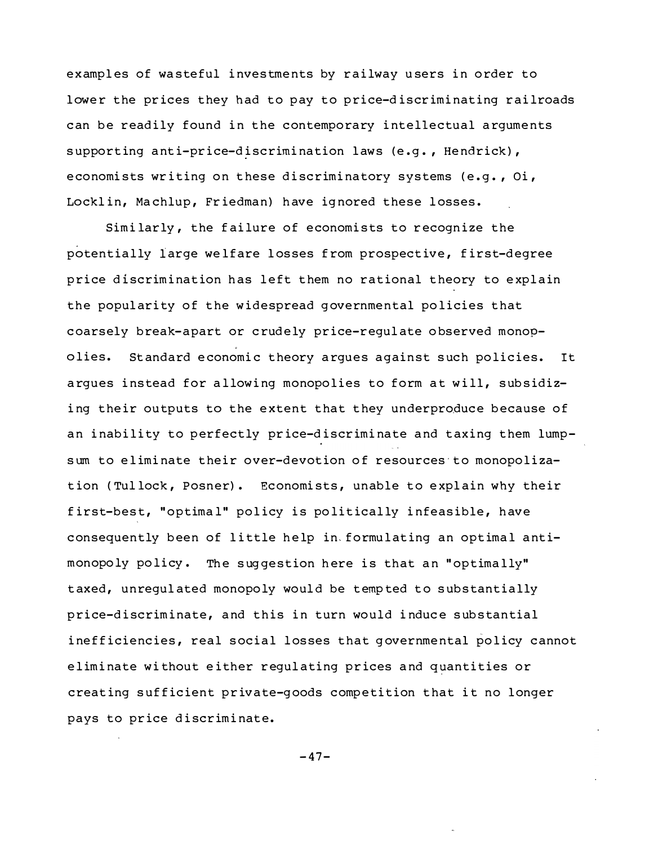examples of wasteful investments by railway users in order to lower the prices they had to pay to price-discriminating railroads can be readily found in the contemporary intellectual arguments supporting anti-price-discrimination laws (e.g., Hendrick), economists writing on these discriminatory systems (e.g., Oi, Locklin, Machlup, Friedman) have ignored these losses.

Similarly, the failure of economists to recognize the potentially large welfare losses from prospective, first-degree price discrimination has left them no rational theory to explain the popularity of the widespread governmental policies that coarsely break-apart or crudely price-requlate observed monopolies. Standard economic theory arques against such policies. It argues instead for allowing monopolies to form at will, subsidizing their outputs to the extent that they underproduce because of an inability to perfectly price-discriminate and taxing them lumpsum to eliminate their over-devotion of resources to monopolization (Tullock, Posner). Economists, unable to explain why their first-best, "optimal" policy is politically infeasible, have consequently been of little help in formulating an optimal antimonopoly policy. The suggestion here is that an "optimally" taxed, unregulated monopoly would be tempted to substantially price-discriminate, and this in turn would induce substantial inefficiencies, real social losses that governmental policy cannot eliminate without either regulating prices and quantities or creating sufficient private-goods competition that it no longer pays to price discriminate.

 $-47-$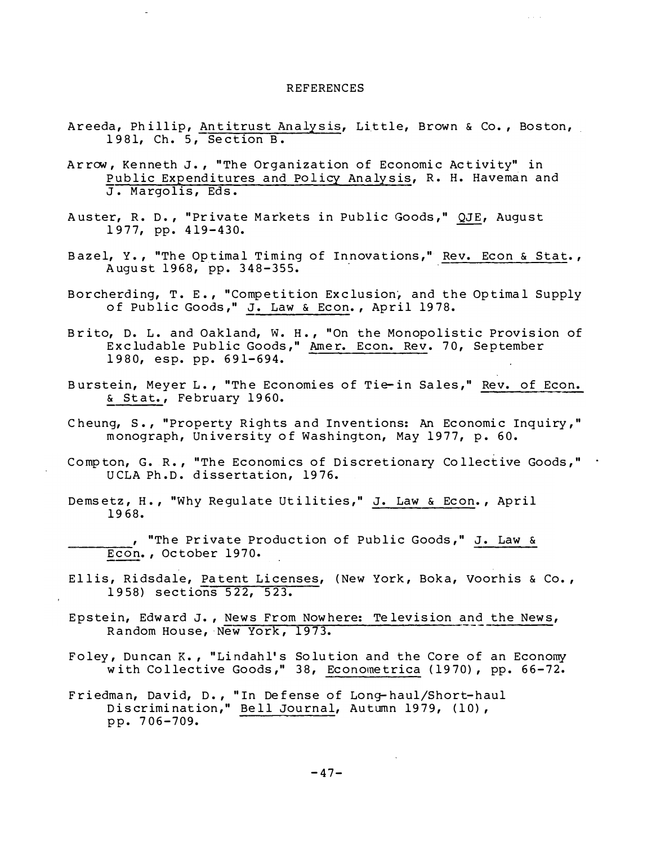#### **REFERENCES**

- Areeda, Phillip, Antitrust Analysis, Little, Brown & Co., Boston, 1981, Ch. 5, Section B.
- Arrow, Kenneth J., "The Organization of Economic Activity" in Public Expenditures and Policy Analysis, R. H. Haveman and J. Margolis, Eds.
- Auster, R. D., "Private Markets in Public Goods," QJE, August 1977, pp. 419-430.
- Bazel, Y., "The Optimal Timing of Innovations," Rev. Econ & Stat., August 1968, pp. 348-355.
- Borcherding, T. E., "Competition Exclusion, and the Optimal Supply of Public Goods," J. Law & Econ., April 1978.
- Brito, D. L. and Oakland, W. H., "On the Monopolistic Provision of Excludable Public Goods," Amer. Econ. Rev. 70, September 1980, esp. pp. 691-694.
- Burstein, Meyer L., "The Economies of Tie-in Sales," Rev. of Econ. & Stat., February 1960.
- Cheung, S., "Property Rights and Inventions: An Economic Inquiry," monograph, University of Washington, May 1977, p. 60.
- Compton, G. R., "The Economics of Discretionary Collective Goods," . UCLA Ph.D. dissertation, 1976.
- Demsetz, H., "Why Regulate Utilities," J. Law & Econ., April 1968.
	- , "The Private Production of Public Goods," J. Law & Econ., October 1970.
- Ellis, Ridsdale, Patent Licenses, (New York, Boka, Voorhis & Co., 1958) sections 522, 523.
- Epstein, Edward J., News From Nowhere: Television and the News, Random House, New York, 1973.
- Foley, Duncan K., "Lindahl's Solution and the Core of an Economy<br>with Collective Goods," 38, Econometrica (1970), pp. 66-72.
- Friedman, David, D., "In Defense of Long-haul/Short-haul<br>Discrimination," Bell Journal, Autumn 1979, (10), pp. 706-709.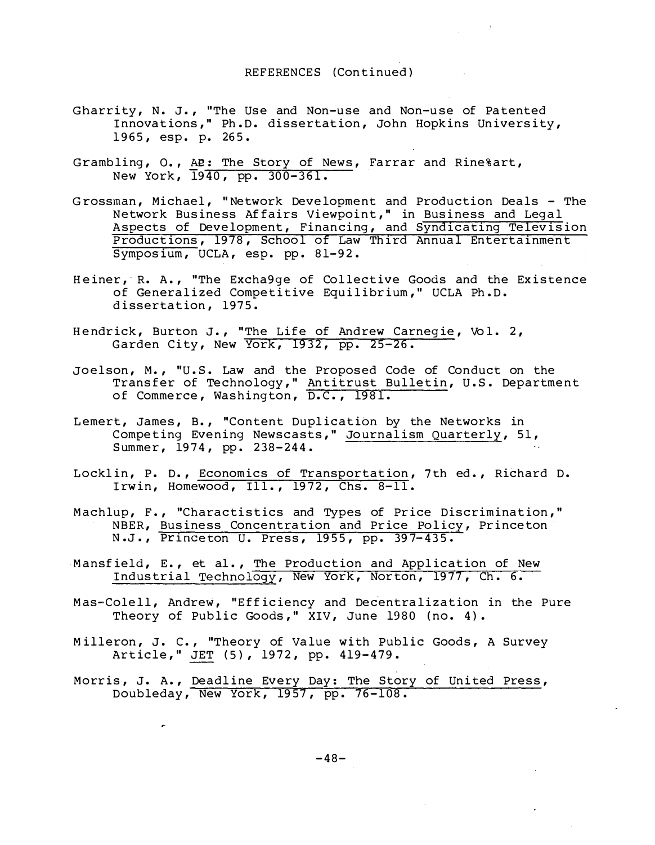- Gharrity, N. J., "The Use and Non-use and Non-use of Patented Innovations," Ph.D. dissertation, John Hopkins University, 1965, esp. p. 265.
- Grambling, O., AB: The Story of News, Farrar and Rine%art, New York, 1940, pp. 300-361.
- Grossman, Michael, "Network Development and Production Deals The Network Business Affairs Viewpoint," in Business and Legal<br>Aspects of Development, Financing, and Syndicating Television Productions, 1978, School of Law Third Annual Entertainment Symposium, UCLA, esp. pp. 81-92.
- Heiner, R. A., "The Excha9ge of Collective Goods and the Existence of Generalized Competitive Equilibrium," UCLA Ph.D. dissertation, 1975.
- Hendrick, Burton J., "The Life of Andrew Carnegie, Vol. 2,<br>Garden City, New York, 1932, pp. 25-26.
- Joelson, M., "U.S. Law and the Proposed Code of Conduct on the Transfer of Technology," Antitrust Bulletin, U.S. Department<br>of Commerce, Washington, D.C., 1981.
- Lemert, James, B., "Content Duplication by the Networks in Competing Evening Newscasts," Journalism Quarterly, 51, Summer, 1974, pp. 238-244.
- Locklin, P. D., Economics of Transportation, 7th ed., Richard D. Irwin, Homewood, Ill., 1972, Chs. 8-11.
- Machlup, F., "Charactistics and Types of Price Discrimination," NBER, Business Concentration and Price Policy, Princeton N.J., Princeton U. Press, 1955, pp. 397-435.
- Mansfield, E., et al., The Production and Application of New Industrial Technology, New York, Norton, 1977, Ch. 6.
- Mas-Colell, Andrew, "Efficiency and Decentralization in the Pure Theory of Public Goods," XIV, June 1980 (no. 4).
- Milleron, J. C., "Theory of Value with Public Goods, A Survey Article," JET (5), 1972, pp. 419-479.
- Morris, J. A., Deadline Every Day: The Story of United Press, Doubleday, New York, 1957, pp. 76-108.

 $\bullet$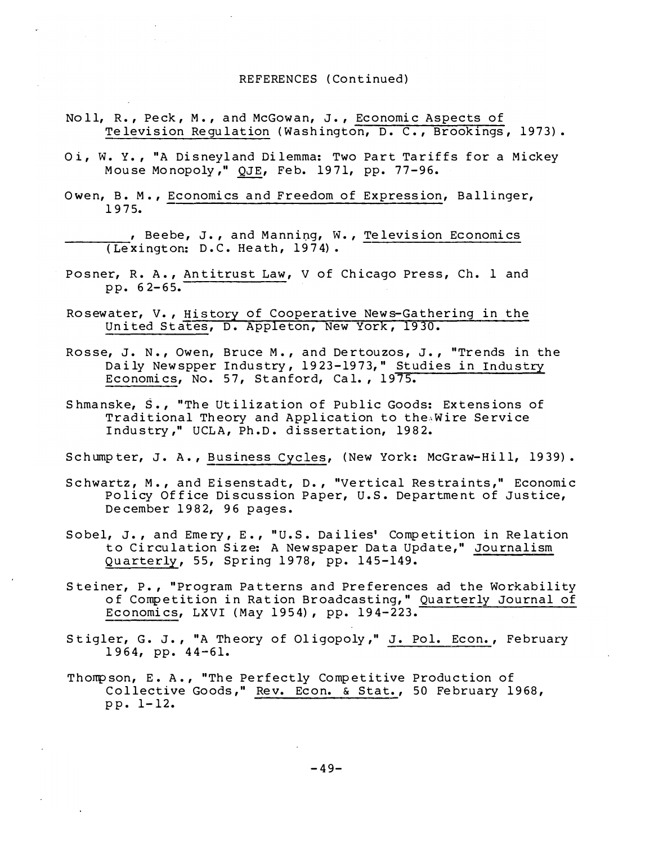- Noll, R., Peck, M., and McGowan, J., Economic Aspects of Television Requlation (Washington, D. C., Brookings, 1973).
- Oi, W. Y., "A Disneyland Dilemma: Two Part Tariffs for a Mickey Mouse Monopoly," QJE, Feb. 1971, pp. 77-96.
- Owen, B. M., Economics and Freedom of Expression, Ballinger, 1975.

, Beebe, J., and Manning, W., Television Economics (Lexington: D.C. Heath, 1974).

- Posner, R. A., Antitrust Law, V of Chicago Press, Ch. 1 and pp.  $62-65$ .
- Rosewater, V., History of Cooperative News-Gathering in the United States, D. Appleton, New York, 1930.
- Rosse, J. N., Owen, Bruce M., and Dertouzos, J., "Trends in the Daily Newspper Industry, 1923-1973," Studies in Industry Economics, No. 57, Stanford, Cal., 1975.
- Shmanske, S., "The Utilization of Public Goods: Extensions of Traditional Theory and Application to the Wire Service Industry," UCLA, Ph.D. dissertation, 1982.

Schumpter, J. A., Business Cycles, (New York: McGraw-Hill, 1939).

- Schwartz, M., and Eisenstadt, D., "Vertical Restraints," Economic Policy Office Discussion Paper, U.S. Department of Justice, December 1982, 96 pages.
- Sobel, J., and Emery, E., "U.S. Dailies' Competition in Relation to Circulation Size: A Newspaper Data Update," Journalism Quarterly, 55, Spring 1978, pp. 145-149.
- Steiner, P., "Program Patterns and Preferences ad the Workability of Competition in Ration Broadcasting," Quarterly Journal of Economics, LXVI (May 1954), pp. 194-223.
- Stigler, G. J., "A Theory of Oligopoly," J. Pol. Econ., February 1964, pp.  $44 - 61$ .
- Thompson, E. A., "The Perfectly Competitive Production of Collective Goods," Rev. Econ. & Stat., 50 February 1968, pp. 1-12.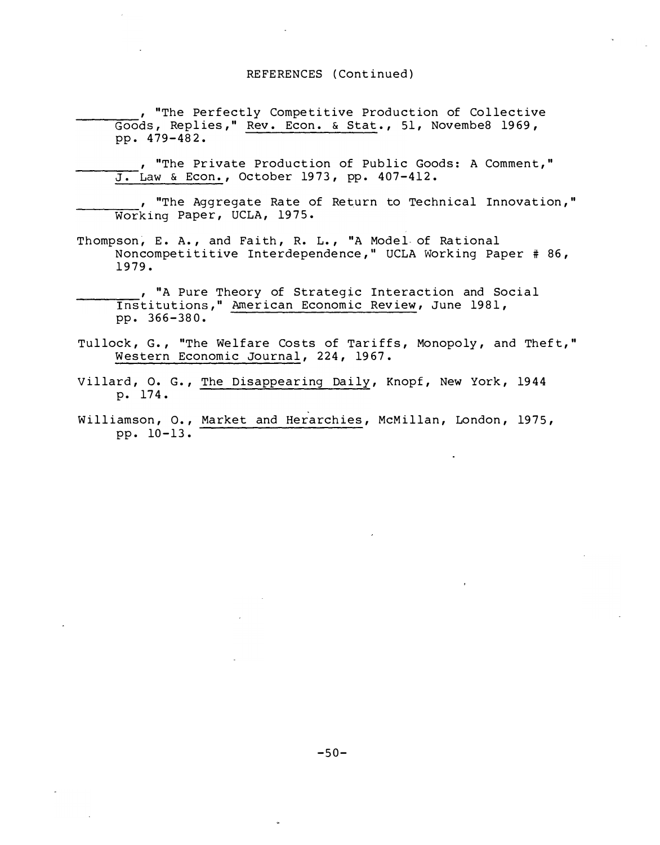, "The Perfectly Competitive Production of Collective Goods, Replies," Rev. Econ. & Stat., 51, Novembe8 1969, pp. 479-482.

, "The Private Production of Public Goods: A Comment," J. Law & Econ., October 1973, pp. 407-412.

, "The Aggregate Rate of Return to Technical Innovation," Working Paper, UCLA, 1975.

- Thompson, E. A., and Faith, R. L., "A Model of Rational Noncompetititive Interdependence," UCLA Working Paper # 86, 1979.
- , "A Pure Theory of Strategic Interaction and Social Institutions," American Economic Review, June 1981, pp. 366-380.
- Tullock, G., "The Welfare Costs of Tariffs, Monopoly, and Theft," Western Economic Journal, 224, 1967.
- Villard, O. G., The Disappearing Daily, Knopf, New York, 1944 p. 174.
- Williamson, O., Market and Herarchies, McMillan, London, 1975, pp. 10-13.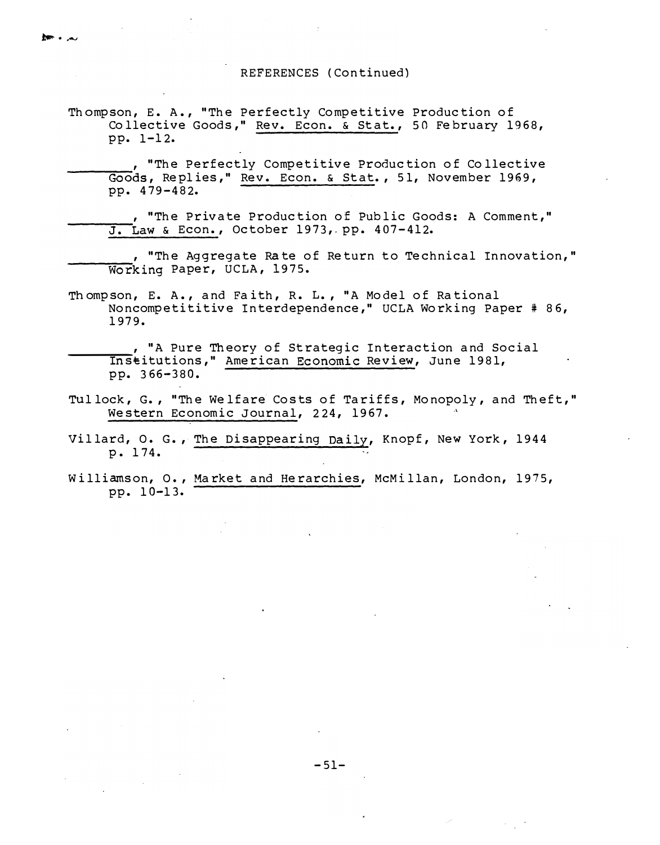Thompson, E. A., "The Perfectly Competitive Production of Collective Goods," Rev. Econ. & Stat., 50 February 1968, pp. 1-12.

 $m \cdot \omega$ 

, "The Perfectly Competitive Production of Collective Goods, Replies," Rev. Econ. & Stat., 51, November 1969, pp. 479-482.

, "The Private Production of Public Goods: A Comment," J. Law & Econ., October 1973, pp. 407-412.

, "The Aggregate Rate of Return to Technical Innovation," Working Paper, UCLA, 1975.

Thompson, E. A., and Faith, R. L., "A Model of Rational Noncompetititive Interdependence," UCLA Working Paper # 86, 1979.

, "A Pure Theory of Strategic Interaction and Social Institutions," American Economic Review, June 1981, pp. 366-380.

- Tullock, G., "The Welfare Costs of Tariffs, Monopoly, and Theft," Western Economic Journal, 224, 1967.
- Villard, O. G., The Disappearing Daily, Knopf, New York, 1944 p. 174.
- Williamson, O., Market and Herarchies, McMillan, London, 1975, pp. 10-13.